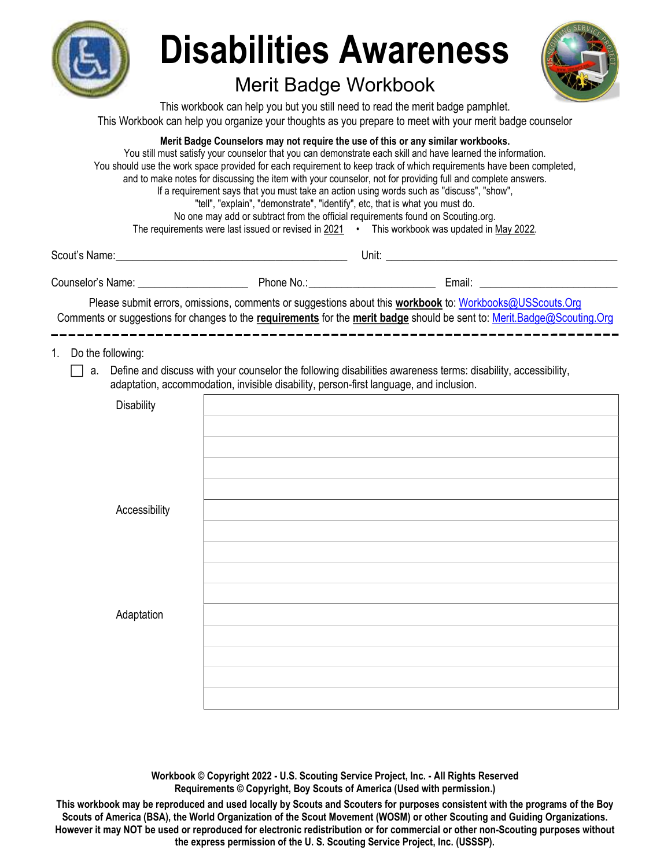

# Disabilities Awareness

# Merit Badge Workbook



This workbook can help you but you still need to read the merit badge pamphlet. This Workbook can help you organize your thoughts as you prepare to meet with your merit badge counselor

Merit Badge Counselors may not require the use of this or any similar workbooks.

You still must satisfy your counselor that you can demonstrate each skill and have learned the information. You should use the work space provided for each requirement to keep track of which requirements have been completed, and to make notes for discussing the item with your counselor, not for providing full and complete answers. If a requirement says that you must take an action using words such as "discuss", "show", "tell", "explain", "demonstrate", "identify", etc, that is what you must do. No one may add or subtract from the official requirements found on Scouting.org. The requirements were last issued or revised in  $2021$  • This workbook was updated in May 2022.

Scout's Name: \_\_\_\_\_\_\_\_\_\_\_\_\_\_\_\_\_\_\_\_\_\_\_\_\_\_\_\_\_\_\_\_\_\_\_\_\_\_\_\_\_\_ Unit: \_\_\_\_\_\_\_\_\_\_\_\_\_\_\_\_\_\_\_\_\_\_\_\_\_\_\_\_\_\_\_\_\_\_\_\_\_\_\_\_\_\_

Counselor's Name: \_\_\_\_\_\_\_\_\_\_\_\_\_\_\_\_\_\_\_\_ Phone No.: \_\_\_\_\_\_\_\_\_\_\_\_\_\_\_\_\_\_\_\_\_\_\_ Email: \_\_\_\_\_\_\_\_\_\_\_\_\_\_\_\_\_\_\_\_\_\_\_\_\_

Please submit errors, omissions, comments or suggestions about this workbook to: Workbooks@USScouts.Org Comments or suggestions for changes to the requirements for the merit badge should be sent to: Merit.Badge@Scouting.Org 

1. Do the following:

 $\Box$  a. Define and discuss with your counselor the following disabilities awareness terms: disability, accessibility, adaptation, accommodation, invisible disability, person-first language, and inclusion.

| and the state of the state of<br>$\sim$ | $\cdot$ .<br>$\ddot{\phantom{0}}$<br>$\sim$ $\sim$ |
|-----------------------------------------|----------------------------------------------------|
| Disability                              |                                                    |
|                                         |                                                    |
|                                         |                                                    |
|                                         |                                                    |
|                                         |                                                    |
| Accessibility                           |                                                    |
|                                         |                                                    |
|                                         |                                                    |
|                                         |                                                    |
|                                         |                                                    |
| Adaptation                              |                                                    |
|                                         |                                                    |
|                                         |                                                    |
|                                         |                                                    |
|                                         |                                                    |
|                                         |                                                    |

Workbook © Copyright 2022 - U.S. Scouting Service Project, Inc. - All Rights Reserved Requirements © Copyright, Boy Scouts of America (Used with permission.)

This workbook may be reproduced and used locally by Scouts and Scouters for purposes consistent with the programs of the Boy Scouts of America (BSA), the World Organization of the Scout Movement (WOSM) or other Scouting and Guiding Organizations. However it may NOT be used or reproduced for electronic redistribution or for commercial or other non-Scouting purposes without the express permission of the U. S. Scouting Service Project, Inc. (USSSP).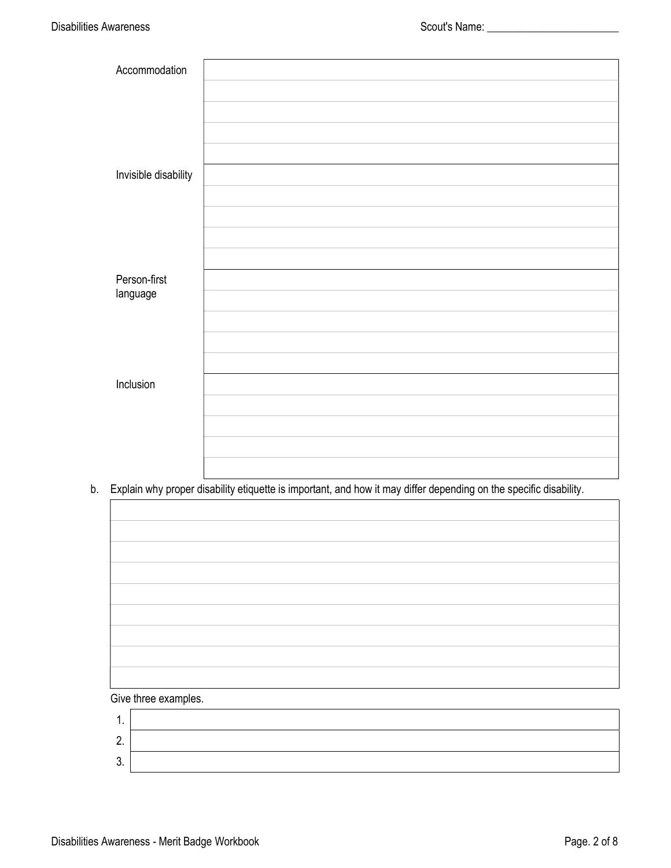| Accommodation        |  |
|----------------------|--|
|                      |  |
|                      |  |
|                      |  |
|                      |  |
| Invisible disability |  |
|                      |  |
|                      |  |
|                      |  |
|                      |  |
| Person-first         |  |
| language             |  |
|                      |  |
|                      |  |
|                      |  |
| Inclusion            |  |
|                      |  |
|                      |  |
|                      |  |
|                      |  |

b. Explain why proper disability etiquette is important, and how it may differ depending on the specific disability.

| $-1$<br>$\sim$ |  |
|----------------|--|

#### Give three examples.

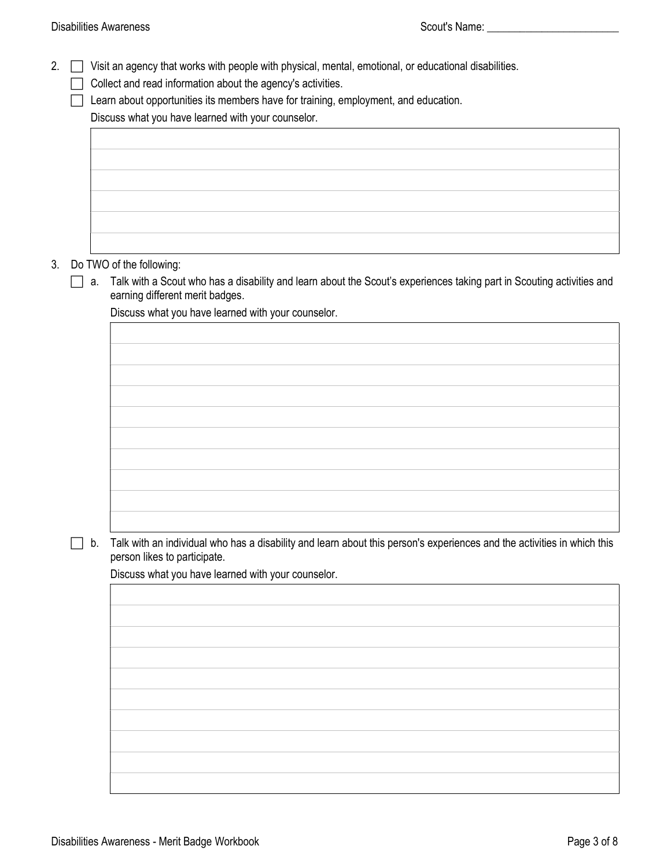2.  $\Box$  Visit an agency that works with people with physical, mental, emotional, or educational disabilities.

Collect and read information about the agency's activities.

 $\Box$  Learn about opportunities its members have for training, employment, and education.

Discuss what you have learned with your counselor.

| the control of the control of the control of the control of the control of the control of |  |
|-------------------------------------------------------------------------------------------|--|
|                                                                                           |  |
|                                                                                           |  |
|                                                                                           |  |
|                                                                                           |  |
|                                                                                           |  |
|                                                                                           |  |
|                                                                                           |  |
|                                                                                           |  |
|                                                                                           |  |
|                                                                                           |  |
|                                                                                           |  |
|                                                                                           |  |
|                                                                                           |  |
|                                                                                           |  |
| the control of the control of the control of the control of the control of the control of |  |
|                                                                                           |  |
|                                                                                           |  |
|                                                                                           |  |
|                                                                                           |  |
|                                                                                           |  |
|                                                                                           |  |
|                                                                                           |  |
|                                                                                           |  |
|                                                                                           |  |
|                                                                                           |  |
|                                                                                           |  |
|                                                                                           |  |
|                                                                                           |  |
|                                                                                           |  |
|                                                                                           |  |
|                                                                                           |  |
|                                                                                           |  |
|                                                                                           |  |
|                                                                                           |  |
|                                                                                           |  |
|                                                                                           |  |
|                                                                                           |  |
|                                                                                           |  |

## 3. Do TWO of the following:

 a. Talk with a Scout who has a disability and learn about the Scout's experiences taking part in Scouting activities and earning different merit badges.

Discuss what you have learned with your counselor.

 $\Box$  b. Talk with an individual who has a disability and learn about this person's experiences and the activities in which this person likes to participate.

Discuss what you have learned with your counselor.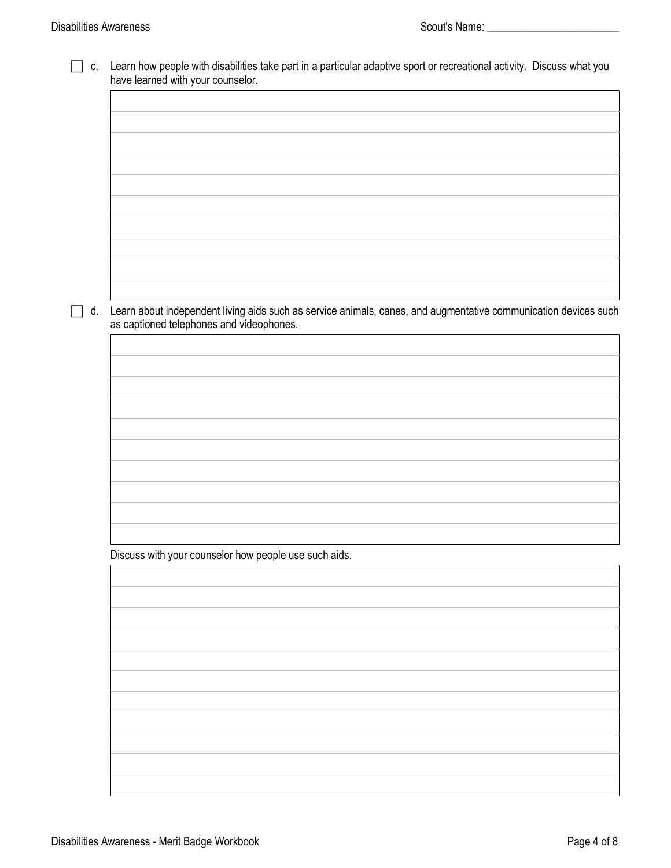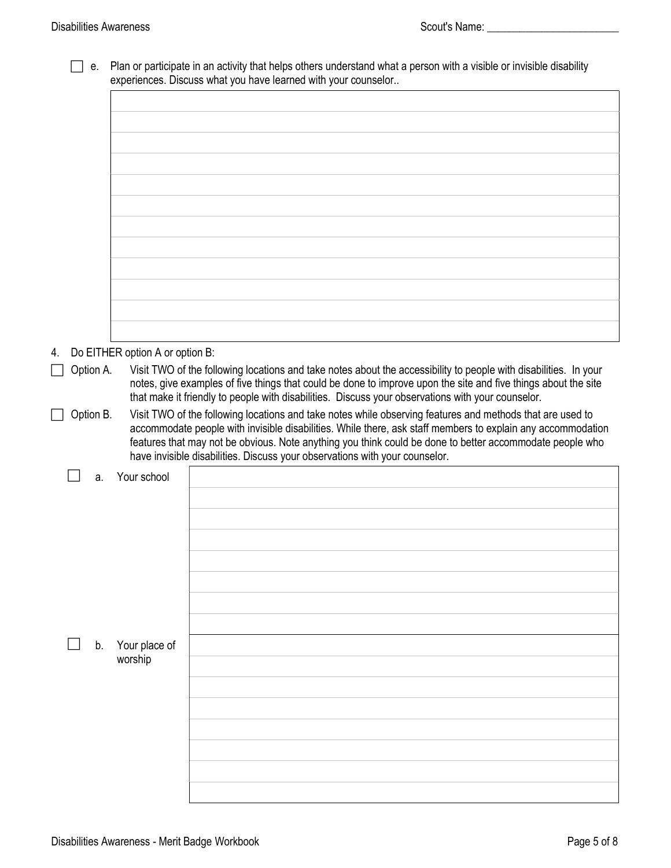$\Gamma$ 

| $\Box$ e. Plan or participate in an activity that helps others understand what a person with a visible or invisible disability |
|--------------------------------------------------------------------------------------------------------------------------------|
| experiences. Discuss what you have learned with your counselor                                                                 |

| 4. |           |    | Do EITHER option A or option B: |                                                                                                                                                                                                                                    |
|----|-----------|----|---------------------------------|------------------------------------------------------------------------------------------------------------------------------------------------------------------------------------------------------------------------------------|
|    | Option A. |    |                                 | Visit TWO of the following locations and take notes about the accessibility to people with disabilities. In your<br>notes, give examples of five things that could be done to improve upon the site and five things about the site |
|    |           |    |                                 | that make it friendly to people with disabilities. Discuss your observations with your counselor.                                                                                                                                  |
|    | Option B. |    |                                 | Visit TWO of the following locations and take notes while observing features and methods that are used to                                                                                                                          |
|    |           |    |                                 | accommodate people with invisible disabilities. While there, ask staff members to explain any accommodation                                                                                                                        |
|    |           |    |                                 | features that may not be obvious. Note anything you think could be done to better accommodate people who                                                                                                                           |
|    |           |    |                                 | have invisible disabilities. Discuss your observations with your counselor.                                                                                                                                                        |
|    |           | a. | Your school                     |                                                                                                                                                                                                                                    |
|    |           |    |                                 |                                                                                                                                                                                                                                    |
|    |           |    |                                 |                                                                                                                                                                                                                                    |
|    |           |    |                                 |                                                                                                                                                                                                                                    |
|    |           |    |                                 |                                                                                                                                                                                                                                    |
|    |           |    |                                 |                                                                                                                                                                                                                                    |
|    |           |    |                                 |                                                                                                                                                                                                                                    |
|    |           |    |                                 |                                                                                                                                                                                                                                    |
|    |           |    |                                 |                                                                                                                                                                                                                                    |
|    |           | b. | Your place of                   |                                                                                                                                                                                                                                    |
|    |           |    | worship                         |                                                                                                                                                                                                                                    |
|    |           |    |                                 |                                                                                                                                                                                                                                    |
|    |           |    |                                 |                                                                                                                                                                                                                                    |
|    |           |    |                                 |                                                                                                                                                                                                                                    |
|    |           |    |                                 |                                                                                                                                                                                                                                    |
|    |           |    |                                 |                                                                                                                                                                                                                                    |
|    |           |    |                                 |                                                                                                                                                                                                                                    |
|    |           |    |                                 |                                                                                                                                                                                                                                    |
|    |           |    |                                 |                                                                                                                                                                                                                                    |

٦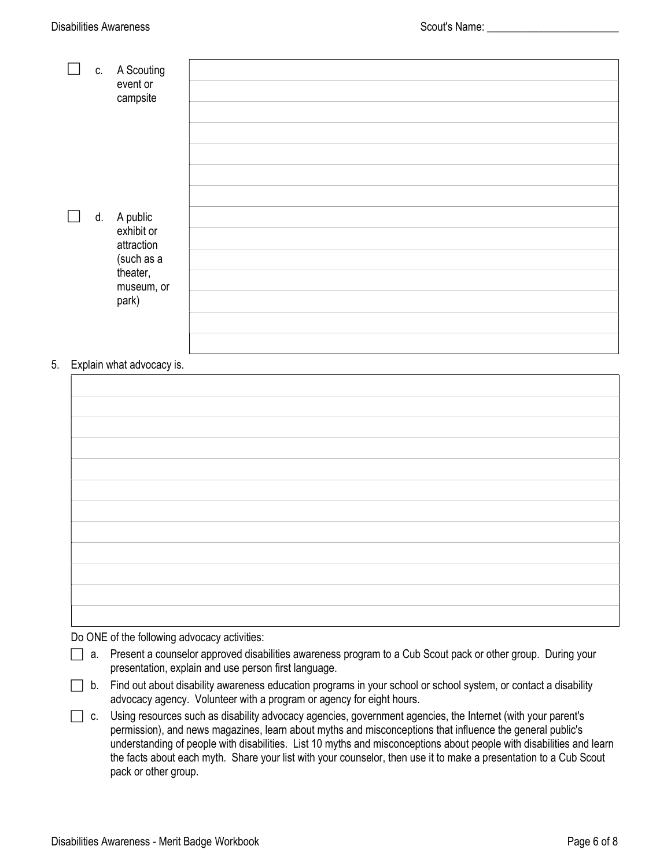| C. | A Scouting<br>event or<br>campsite                                                       |  |
|----|------------------------------------------------------------------------------------------|--|
|    |                                                                                          |  |
|    | d. A public<br>exhibit or<br>attraction<br>(such as a<br>theater,<br>museum, or<br>park) |  |

### 5. Explain what advocacy is.

Do ONE of the following advocacy activities:

| $\Box$ a. Present a counselor approved disabilities awareness program to a Cub Scout pack or other group. During your |  |
|-----------------------------------------------------------------------------------------------------------------------|--|
| presentation, explain and use person first language.                                                                  |  |

- b. Find out about disability awareness education programs in your school or school system, or contact a disability advocacy agency. Volunteer with a program or agency for eight hours.
- c. Using resources such as disability advocacy agencies, government agencies, the Internet (with your parent's permission), and news magazines, learn about myths and misconceptions that influence the general public's understanding of people with disabilities. List 10 myths and misconceptions about people with disabilities and learn the facts about each myth. Share your list with your counselor, then use it to make a presentation to a Cub Scout pack or other group.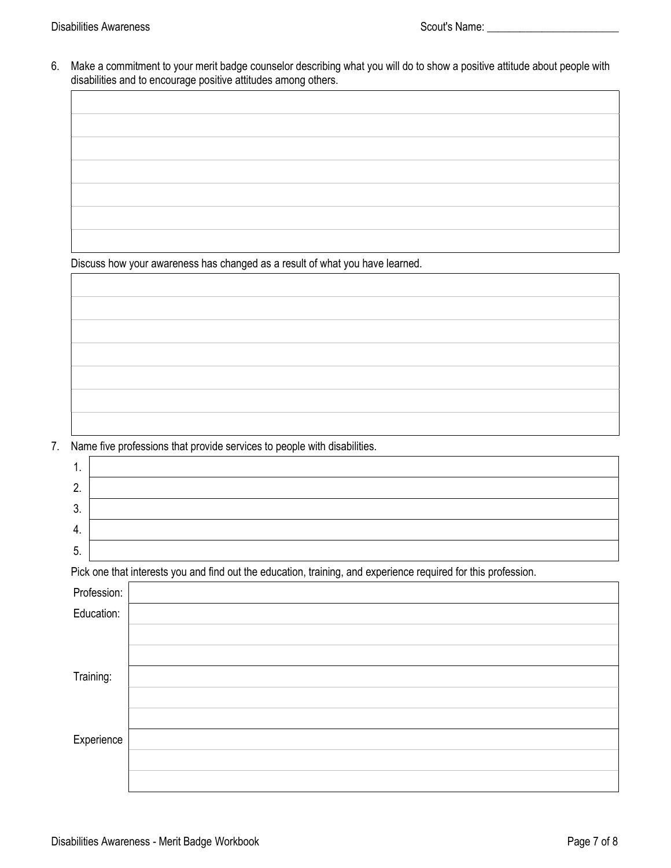6. Make a commitment to your merit badge counselor describing what you will do to show a positive attitude about people with disabilities and to encourage positive attitudes among others.

Discuss how your awareness has changed as a result of what you have learned.

7. Name five professions that provide services to people with disabilities.

| 1. |             |                                                                                                                |
|----|-------------|----------------------------------------------------------------------------------------------------------------|
| 2. |             |                                                                                                                |
| 3. |             |                                                                                                                |
| 4. |             |                                                                                                                |
| 5. |             |                                                                                                                |
|    |             | Pick one that interests you and find out the education, training, and experience required for this profession. |
|    | Profession: |                                                                                                                |
|    | Education:  |                                                                                                                |
|    |             |                                                                                                                |
|    |             |                                                                                                                |
|    | Training:   |                                                                                                                |
|    |             |                                                                                                                |
|    |             |                                                                                                                |
|    | Experience  |                                                                                                                |
|    |             |                                                                                                                |
|    |             |                                                                                                                |